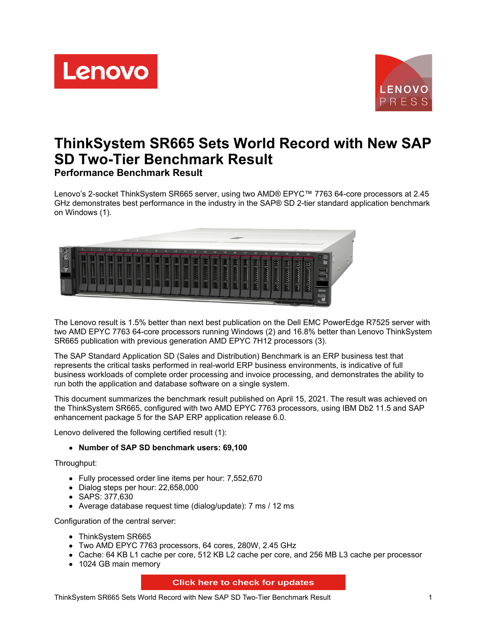



# **ThinkSystem SR665 Sets World Record with New SAP SD Two-Tier Benchmark Result Performance Benchmark Result**

Lenovo's 2-socket ThinkSystem SR665 server, using two AMD® EPYC™ 7763 64-core processors at 2.45 GHz demonstrates best performance in the industry in the SAP® SD 2-tier standard application benchmark on Windows (1).



The Lenovo result is 1.5% better than next best publication on the Dell EMC PowerEdge R7525 server with two AMD EPYC 7763 64-core processors running Windows (2) and 16.8% better than Lenovo ThinkSystem SR665 publication with previous generation AMD EPYC 7H12 processors (3).

The SAP Standard Application SD (Sales and Distribution) Benchmark is an ERP business test that represents the critical tasks performed in real-world ERP business environments, is indicative of full business workloads of complete order processing and invoice processing, and demonstrates the ability to run both the application and database software on a single system.

This document summarizes the benchmark result published on April 15, 2021. The result was achieved on the ThinkSystem SR665, configured with two AMD EPYC 7763 processors, using IBM Db2 11.5 and SAP enhancement package 5 for the SAP ERP application release 6.0.

Lenovo delivered the following certified result (1):

#### **Number of SAP SD benchmark users: 69,100**

Throughput:

- Fully processed order line items per hour: 7,552,670
- Dialog steps per hour: 22,658,000
- SAPS: 377,630
- Average database request time (dialog/update): 7 ms / 12 ms

Configuration of the central server:

- ThinkSystem SR665
- Two AMD EPYC 7763 processors, 64 cores, 280W, 2.45 GHz
- Cache: 64 KB L1 cache per core, 512 KB L2 cache per core, and 256 MB L3 cache per processor
- 1024 GB main memory

#### **Click here to check for updates**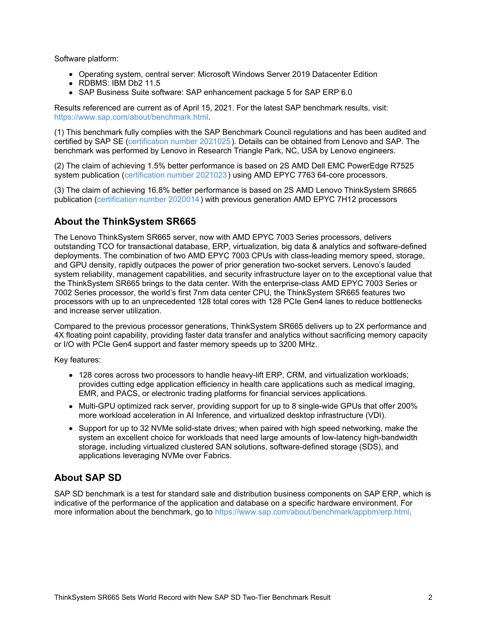Software platform:

- Operating system, central server: Microsoft Windows Server 2019 Datacenter Edition
- RDBMS: IBM Db2 11.5
- SAP Business Suite software: SAP enhancement package 5 for SAP ERP 6.0

Results referenced are current as of April 15, 2021. For the latest SAP benchmark results, visit: <https://www.sap.com/about/benchmark.html>.

(1) This benchmark fully complies with the SAP Benchmark Council regulations and has been audited and certified by SAP SE [\(certification](https://www.sap.com/dmc/benchmark/2021/Cert21025.pdf) number 2021025). Details can be obtained from Lenovo and SAP. The benchmark was performed by Lenovo in Research Triangle Park, NC, USA by Lenovo engineers.

(2) The claim of achieving 1.5% better performance is based on 2S AMD Dell EMC PowerEdge R7525 system publication ([certification](https://www.sap.com/dmc/benchmark/2021/Cert21023.pdf) number 2021023) using AMD EPYC 7763 64-core processors.

(3) The claim of achieving 16.8% better performance is based on 2S AMD Lenovo ThinkSystem SR665 publication [\(certification](https://www.sap.com/dmc/benchmark/2020/Cert20014.pdf) number 2020014) with previous generation AMD EPYC 7H12 processors

#### **About the ThinkSystem SR665**

The Lenovo ThinkSystem SR665 server, now with AMD EPYC 7003 Series processors, delivers outstanding TCO for transactional database, ERP, virtualization, big data & analytics and software-defined deployments. The combination of two AMD EPYC 7003 CPUs with class-leading memory speed, storage, and GPU density, rapidly outpaces the power of prior generation two-socket servers. Lenovo's lauded system reliability, management capabilities, and security infrastructure layer on to the exceptional value that the ThinkSystem SR665 brings to the data center. With the enterprise-class AMD EPYC 7003 Series or 7002 Series processor, the world's first 7nm data center CPU, the ThinkSystem SR665 features two processors with up to an unprecedented 128 total cores with 128 PCIe Gen4 lanes to reduce bottlenecks and increase server utilization.

Compared to the previous processor generations, ThinkSystem SR665 delivers up to 2X performance and 4X floating point capability, providing faster data transfer and analytics without sacrificing memory capacity or I/O with PCIe Gen4 support and faster memory speeds up to 3200 MHz.

Key features:

- 128 cores across two processors to handle heavy-lift ERP, CRM, and virtualization workloads; provides cutting edge application efficiency in health care applications such as medical imaging, EMR, and PACS, or electronic trading platforms for financial services applications.
- Multi-GPU optimized rack server, providing support for up to 8 single-wide GPUs that offer 200% more workload acceleration in AI Inference, and virtualized desktop infrastructure (VDI).
- Support for up to 32 NVMe solid-state drives; when paired with high speed networking, make the system an excellent choice for workloads that need large amounts of low-latency high-bandwidth storage, including virtualized clustered SAN solutions, software-defined storage (SDS), and applications leveraging NVMe over Fabrics.

### **About SAP SD**

SAP SD benchmark is a test for standard sale and distribution business components on SAP ERP, which is indicative of the performance of the application and database on a specific hardware environment. For more information about the benchmark, go to <https://www.sap.com/about/benchmark/appbm/erp.html>.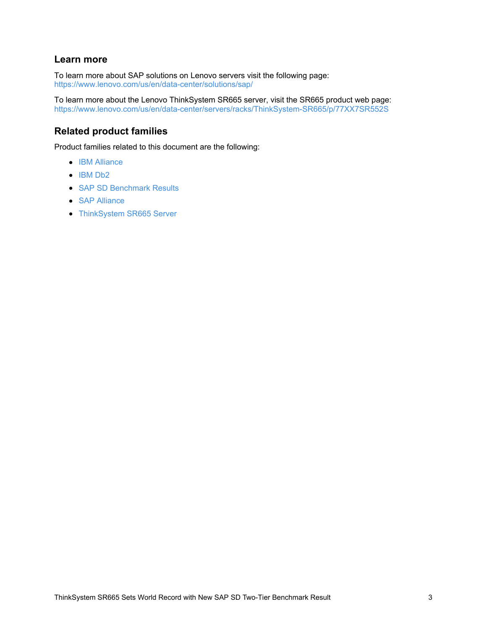### **Learn more**

To learn more about SAP solutions on Lenovo servers visit the following page: <https://www.lenovo.com/us/en/data-center/solutions/sap/>

To learn more about the Lenovo ThinkSystem SR665 server, visit the SR665 product web page: <https://www.lenovo.com/us/en/data-center/servers/racks/ThinkSystem-SR665/p/77XX7SR552S>

## **Related product families**

Product families related to this document are the following:

- IBM [Alliance](https://lenovopress.com/software/alliances/ibm)
- $\bullet$  [IBM](https://lenovopress.com/software/database/db2) Db2
- SAP SD [Benchmark](https://lenovopress.com/servers/benchmarks/sap-sd) Results
- SAP [Alliance](https://lenovopress.com/software/alliances/sap)
- [ThinkSystem](https://lenovopress.com/servers/thinksystem/sr665) SR665 Server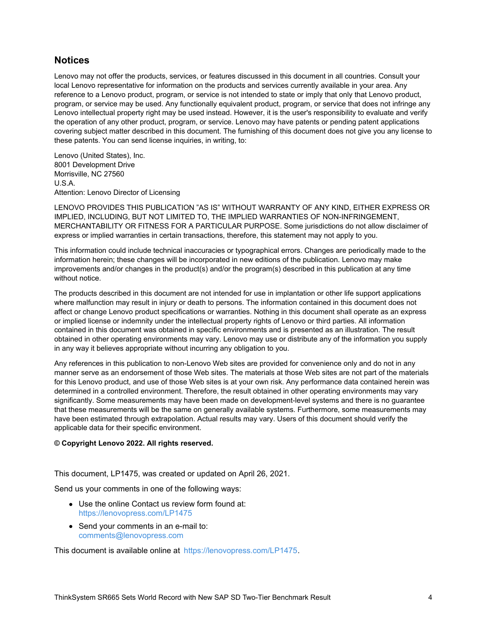#### **Notices**

Lenovo may not offer the products, services, or features discussed in this document in all countries. Consult your local Lenovo representative for information on the products and services currently available in your area. Any reference to a Lenovo product, program, or service is not intended to state or imply that only that Lenovo product, program, or service may be used. Any functionally equivalent product, program, or service that does not infringe any Lenovo intellectual property right may be used instead. However, it is the user's responsibility to evaluate and verify the operation of any other product, program, or service. Lenovo may have patents or pending patent applications covering subject matter described in this document. The furnishing of this document does not give you any license to these patents. You can send license inquiries, in writing, to:

Lenovo (United States), Inc. 8001 Development Drive Morrisville, NC 27560 U.S.A. Attention: Lenovo Director of Licensing

LENOVO PROVIDES THIS PUBLICATION "AS IS" WITHOUT WARRANTY OF ANY KIND, EITHER EXPRESS OR IMPLIED, INCLUDING, BUT NOT LIMITED TO, THE IMPLIED WARRANTIES OF NON-INFRINGEMENT, MERCHANTABILITY OR FITNESS FOR A PARTICULAR PURPOSE. Some jurisdictions do not allow disclaimer of express or implied warranties in certain transactions, therefore, this statement may not apply to you.

This information could include technical inaccuracies or typographical errors. Changes are periodically made to the information herein; these changes will be incorporated in new editions of the publication. Lenovo may make improvements and/or changes in the product(s) and/or the program(s) described in this publication at any time without notice.

The products described in this document are not intended for use in implantation or other life support applications where malfunction may result in injury or death to persons. The information contained in this document does not affect or change Lenovo product specifications or warranties. Nothing in this document shall operate as an express or implied license or indemnity under the intellectual property rights of Lenovo or third parties. All information contained in this document was obtained in specific environments and is presented as an illustration. The result obtained in other operating environments may vary. Lenovo may use or distribute any of the information you supply in any way it believes appropriate without incurring any obligation to you.

Any references in this publication to non-Lenovo Web sites are provided for convenience only and do not in any manner serve as an endorsement of those Web sites. The materials at those Web sites are not part of the materials for this Lenovo product, and use of those Web sites is at your own risk. Any performance data contained herein was determined in a controlled environment. Therefore, the result obtained in other operating environments may vary significantly. Some measurements may have been made on development-level systems and there is no guarantee that these measurements will be the same on generally available systems. Furthermore, some measurements may have been estimated through extrapolation. Actual results may vary. Users of this document should verify the applicable data for their specific environment.

#### **© Copyright Lenovo 2022. All rights reserved.**

This document, LP1475, was created or updated on April 26, 2021.

Send us your comments in one of the following ways:

- Use the online Contact us review form found at: <https://lenovopress.com/LP1475>
- Send your comments in an e-mail to: [comments@lenovopress.com](mailto:comments@lenovopress.com?subject=Feedback for LP1475)

This document is available online at <https://lenovopress.com/LP1475>.